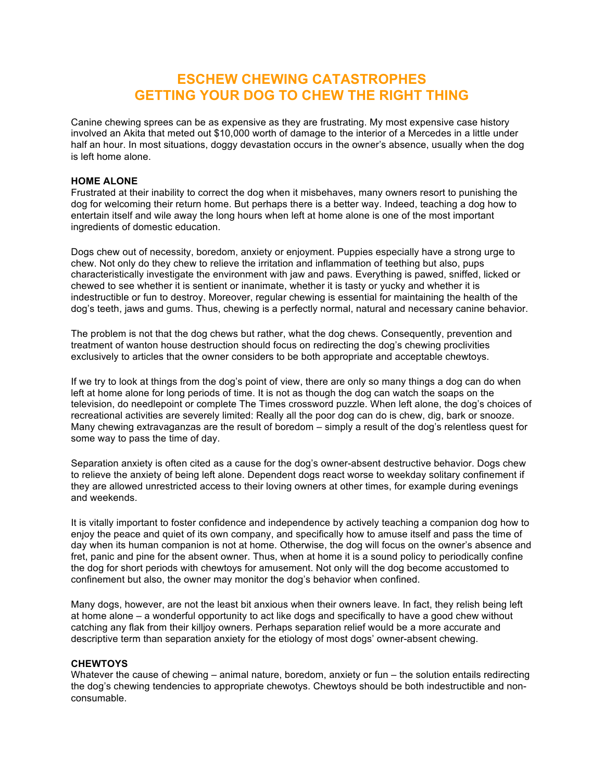# **ESCHEW CHEWING CATASTROPHES GETTING YOUR DOG TO CHEW THE RIGHT THING**

Canine chewing sprees can be as expensive as they are frustrating. My most expensive case history involved an Akita that meted out \$10,000 worth of damage to the interior of a Mercedes in a little under half an hour. In most situations, doggy devastation occurs in the owner's absence, usually when the dog is left home alone.

## **HOME ALONE**

Frustrated at their inability to correct the dog when it misbehaves, many owners resort to punishing the dog for welcoming their return home. But perhaps there is a better way. Indeed, teaching a dog how to entertain itself and wile away the long hours when left at home alone is one of the most important ingredients of domestic education.

Dogs chew out of necessity, boredom, anxiety or enjoyment. Puppies especially have a strong urge to chew. Not only do they chew to relieve the irritation and inflammation of teething but also, pups characteristically investigate the environment with jaw and paws. Everything is pawed, sniffed, licked or chewed to see whether it is sentient or inanimate, whether it is tasty or yucky and whether it is indestructible or fun to destroy. Moreover, regular chewing is essential for maintaining the health of the dog's teeth, jaws and gums. Thus, chewing is a perfectly normal, natural and necessary canine behavior.

The problem is not that the dog chews but rather, what the dog chews. Consequently, prevention and treatment of wanton house destruction should focus on redirecting the dog's chewing proclivities exclusively to articles that the owner considers to be both appropriate and acceptable chewtoys.

If we try to look at things from the dog's point of view, there are only so many things a dog can do when left at home alone for long periods of time. It is not as though the dog can watch the soaps on the television, do needlepoint or complete The Times crossword puzzle. When left alone, the dog's choices of recreational activities are severely limited: Really all the poor dog can do is chew, dig, bark or snooze. Many chewing extravaganzas are the result of boredom – simply a result of the dog's relentless quest for some way to pass the time of day.

Separation anxiety is often cited as a cause for the dog's owner-absent destructive behavior. Dogs chew to relieve the anxiety of being left alone. Dependent dogs react worse to weekday solitary confinement if they are allowed unrestricted access to their loving owners at other times, for example during evenings and weekends.

It is vitally important to foster confidence and independence by actively teaching a companion dog how to enjoy the peace and quiet of its own company, and specifically how to amuse itself and pass the time of day when its human companion is not at home. Otherwise, the dog will focus on the owner's absence and fret, panic and pine for the absent owner. Thus, when at home it is a sound policy to periodically confine the dog for short periods with chewtoys for amusement. Not only will the dog become accustomed to confinement but also, the owner may monitor the dog's behavior when confined.

Many dogs, however, are not the least bit anxious when their owners leave. In fact, they relish being left at home alone – a wonderful opportunity to act like dogs and specifically to have a good chew without catching any flak from their killjoy owners. Perhaps separation relief would be a more accurate and descriptive term than separation anxiety for the etiology of most dogs' owner-absent chewing.

#### **CHEWTOYS**

Whatever the cause of chewing – animal nature, boredom, anxiety or fun – the solution entails redirecting the dog's chewing tendencies to appropriate chewotys. Chewtoys should be both indestructible and nonconsumable.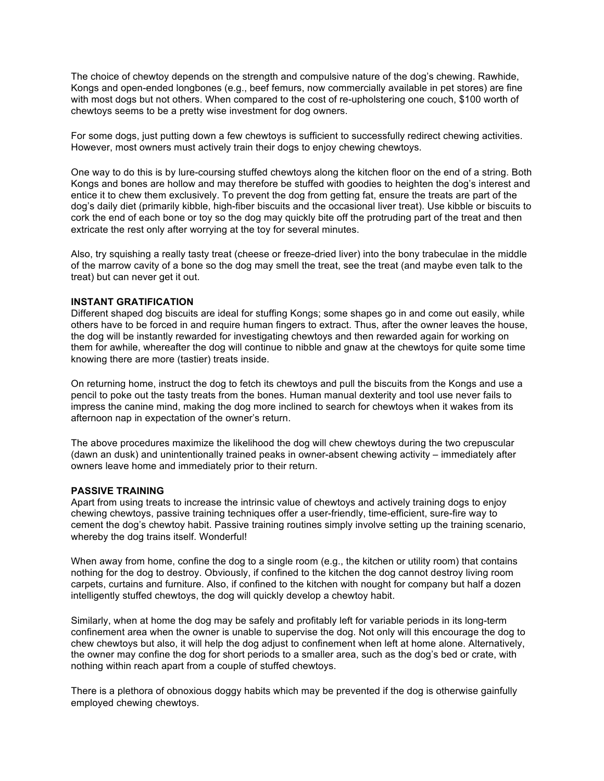The choice of chewtoy depends on the strength and compulsive nature of the dog's chewing. Rawhide, Kongs and open-ended longbones (e.g., beef femurs, now commercially available in pet stores) are fine with most dogs but not others. When compared to the cost of re-upholstering one couch, \$100 worth of chewtoys seems to be a pretty wise investment for dog owners.

For some dogs, just putting down a few chewtoys is sufficient to successfully redirect chewing activities. However, most owners must actively train their dogs to enjoy chewing chewtoys.

One way to do this is by lure-coursing stuffed chewtoys along the kitchen floor on the end of a string. Both Kongs and bones are hollow and may therefore be stuffed with goodies to heighten the dog's interest and entice it to chew them exclusively. To prevent the dog from getting fat, ensure the treats are part of the dog's daily diet (primarily kibble, high-fiber biscuits and the occasional liver treat). Use kibble or biscuits to cork the end of each bone or toy so the dog may quickly bite off the protruding part of the treat and then extricate the rest only after worrying at the toy for several minutes.

Also, try squishing a really tasty treat (cheese or freeze-dried liver) into the bony trabeculae in the middle of the marrow cavity of a bone so the dog may smell the treat, see the treat (and maybe even talk to the treat) but can never get it out.

#### **INSTANT GRATIFICATION**

Different shaped dog biscuits are ideal for stuffing Kongs; some shapes go in and come out easily, while others have to be forced in and require human fingers to extract. Thus, after the owner leaves the house, the dog will be instantly rewarded for investigating chewtoys and then rewarded again for working on them for awhile, whereafter the dog will continue to nibble and gnaw at the chewtoys for quite some time knowing there are more (tastier) treats inside.

On returning home, instruct the dog to fetch its chewtoys and pull the biscuits from the Kongs and use a pencil to poke out the tasty treats from the bones. Human manual dexterity and tool use never fails to impress the canine mind, making the dog more inclined to search for chewtoys when it wakes from its afternoon nap in expectation of the owner's return.

The above procedures maximize the likelihood the dog will chew chewtoys during the two crepuscular (dawn an dusk) and unintentionally trained peaks in owner-absent chewing activity – immediately after owners leave home and immediately prior to their return.

### **PASSIVE TRAINING**

Apart from using treats to increase the intrinsic value of chewtoys and actively training dogs to enjoy chewing chewtoys, passive training techniques offer a user-friendly, time-efficient, sure-fire way to cement the dog's chewtoy habit. Passive training routines simply involve setting up the training scenario, whereby the dog trains itself. Wonderful!

When away from home, confine the dog to a single room (e.g., the kitchen or utility room) that contains nothing for the dog to destroy. Obviously, if confined to the kitchen the dog cannot destroy living room carpets, curtains and furniture. Also, if confined to the kitchen with nought for company but half a dozen intelligently stuffed chewtoys, the dog will quickly develop a chewtoy habit.

Similarly, when at home the dog may be safely and profitably left for variable periods in its long-term confinement area when the owner is unable to supervise the dog. Not only will this encourage the dog to chew chewtoys but also, it will help the dog adjust to confinement when left at home alone. Alternatively, the owner may confine the dog for short periods to a smaller area, such as the dog's bed or crate, with nothing within reach apart from a couple of stuffed chewtoys.

There is a plethora of obnoxious doggy habits which may be prevented if the dog is otherwise gainfully employed chewing chewtoys.